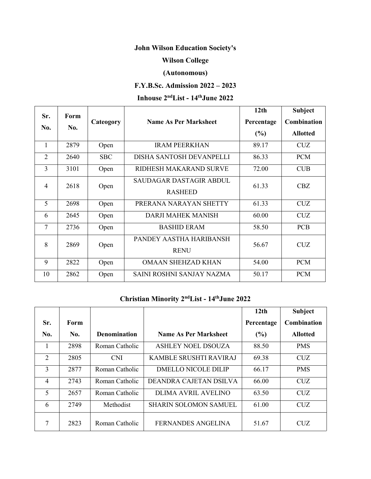# **John Wilson Education Society's**

### **Wilson College**

### **(Autonomous)**

## **F.Y.B.Sc. Admission 2022 – 2023**

#### **Inhouse 2 ndList - 14 thJune 2022**

| Sr.            | Form<br>No. | Cateogory  | <b>Name As Per Marksheet</b> | 12th       | <b>Subject</b>  |
|----------------|-------------|------------|------------------------------|------------|-----------------|
| No.            |             |            |                              | Percentage | Combination     |
|                |             |            |                              | (%)        | <b>Allotted</b> |
|                | 2879        | Open       | <b>IRAM PEERKHAN</b>         | 89.17      | <b>CUZ</b>      |
| $\overline{2}$ | 2640        | <b>SBC</b> | DISHA SANTOSH DEVANPELLI     | 86.33      | <b>PCM</b>      |
| 3              | 3101        | Open       | RIDHESH MAKARAND SURVE       | 72.00      | CUB             |
| $\overline{4}$ | 2618        | Open       | SAUDAGAR DASTAGIR ABDUL      | 61.33      | CBZ             |
|                |             |            | <b>RASHEED</b>               |            |                 |
| 5              | 2698        | Open       | PRERANA NARAYAN SHETTY       | 61.33      | <b>CUZ</b>      |
| 6              | 2645        | Open       | <b>DARJI MAHEK MANISH</b>    | 60.00      | <b>CUZ</b>      |
| $\tau$         | 2736        | Open       | <b>BASHID ERAM</b>           | 58.50      | <b>PCB</b>      |
| 8              | 2869        | Open       | PANDEY AASTHA HARIBANSH      | 56.67      | <b>CUZ</b>      |
|                |             |            | <b>RENU</b>                  |            |                 |
| 9              | 2822        | Open       | <b>OMAAN SHEHZAD KHAN</b>    | 54.00      | <b>PCM</b>      |
| 10             | 2862        | Open       | SAINI ROSHNI SANJAY NAZMA    | 50.17      | <b>PCM</b>      |

#### **Christian Minority 2 ndList - 14 thJune 2022**

|     |      |                     |                              | 12 <sub>th</sub> | Subject            |
|-----|------|---------------------|------------------------------|------------------|--------------------|
| Sr. | Form |                     |                              | Percentage       | <b>Combination</b> |
| No. | No.  | <b>Denomination</b> | <b>Name As Per Marksheet</b> | (%)              | <b>Allotted</b>    |
| 1   | 2898 | Roman Catholic      | <b>ASHLEY NOEL DSOUZA</b>    | 88.50            | <b>PMS</b>         |
| 2   | 2805 | <b>CNI</b>          | KAMBLE SRUSHTI RAVIRAJ       | 69.38            | <b>CUZ</b>         |
| 3   | 2877 | Roman Catholic      | <b>DMELLO NICOLE DILIP</b>   | 66.17            | <b>PMS</b>         |
| 4   | 2743 | Roman Catholic      | DEANDRA CAJETAN DSILVA       | 66.00            | <b>CUZ</b>         |
| 5   | 2657 | Roman Catholic      | <b>DLIMA AVRIL AVELINO</b>   | 63.50            | <b>CUZ</b>         |
| 6   | 2749 | Methodist           | <b>SHARIN SOLOMON SAMUEL</b> | 61.00            | <b>CUZ</b>         |
| 7   | 2823 | Roman Catholic      | FERNANDES ANGELINA           | 51.67            | <b>CUZ</b>         |